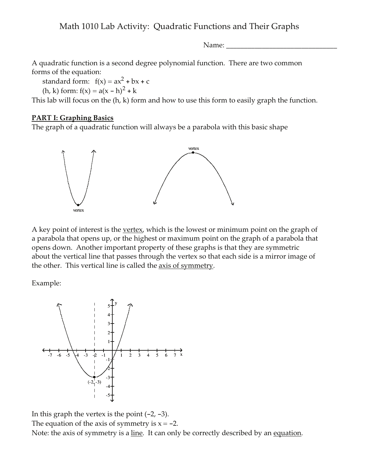Name:

A quadratic function is a second degree polynomial function. There are two common forms of the equation:

standard form:  $f(x) = ax^2 + bx + c$ 

(h, k) form:  $f(x) = a(x - h)^2 + k$ 

This lab will focus on the  $(h, k)$  form and how to use this form to easily graph the function.

#### **PART I: Graphing Basics**

The graph of a quadratic function will always be a parabola with this basic shape



A key point of interest is the vertex, which is the lowest or minimum point on the graph of a parabola that opens up, or the highest or maximum point on the graph of a parabola that opens down. Another important property of these graphs is that they are symmetric about the vertical line that passes through the vertex so that each side is a mirror image of the other. This vertical line is called the axis of symmetry.

Example:



In this graph the vertex is the point  $(-2, -3)$ . The equation of the axis of symmetry is  $x = -2$ . Note: the axis of symmetry is a line. It can only be correctly described by an equation.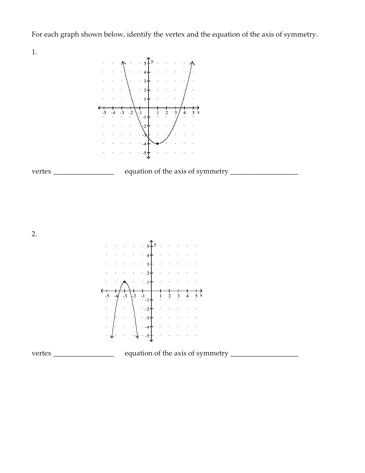For each graph shown below, identify the vertex and the equation of the axis of symmetry.

1.

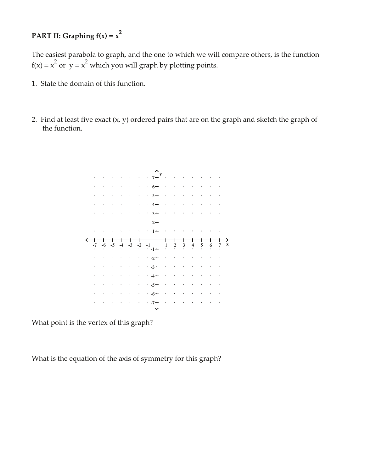## PART II: Graphing  $f(x) = x^2$

The easiest parabola to graph, and the one to which we will compare others, is the function  $f(x) = x^2$  or  $y = x^2$  which you will graph by plotting points.

- 1. State the domain of this function.
- 2. Find at least five exact  $(x, y)$  ordered pairs that are on the graph and sketch the graph of the function.



What point is the vertex of this graph?

What is the equation of the axis of symmetry for this graph?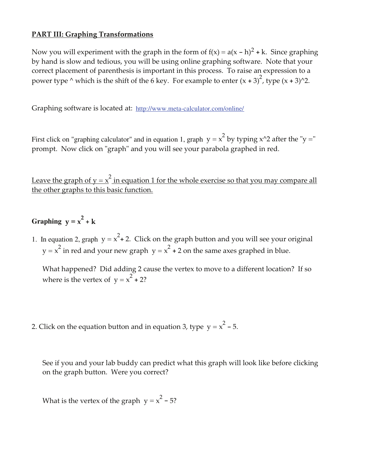#### **PART III: Graphing Transformations**

Now you will experiment with the graph in the form of  $f(x) = a(x - h)^2 + k$ . Since graphing by hand is slow and tedious, you will be using online graphing software. Note that your correct placement of parenthesis is important in this process. To raise an expression to a power type  $\wedge$  which is the shift of the 6 key. For example to enter  $(x + 3)^2$ , type  $(x + 3)^2$ .

Graphing software is located at: http://www.meta-calculator.com/online/

First click on "graphing calculator" and in equation 1, graph  $y = x^2$  by typing x^2 after the "y =" prompt. Now click on "graph" and you will see your parabola graphed in red.

Leave the graph of  $y = x^2$  in equation 1 for the whole exercise so that you may compare all the other graphs to this basic function.

## Graphing  $y = x^2 + k$

1. In equation 2, graph  $y = x^2 + 2$ . Click on the graph button and you will see your original  $y = x<sup>2</sup>$  in red and your new graph  $y = x<sup>2</sup> + 2$  on the same axes graphed in blue.

What happened? Did adding 2 cause the vertex to move to a different location? If so where is the vertex of  $y = x^2 + 2$ ?

2. Click on the equation button and in equation 3, type  $y = x^2 - 5$ .

See if you and your lab buddy can predict what this graph will look like before clicking on the graph button. Were you correct?

What is the vertex of the graph  $y = x^2 - 5$ ?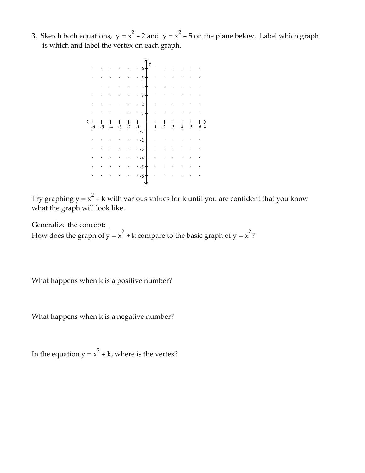3. Sketch both equations,  $y = x^2 + 2$  and  $y = x^2 - 5$  on the plane below. Label which graph is which and label the vertex on each graph.



Try graphing  $y = x^2 + k$  with various values for k until you are confident that you know what the graph will look like.

Generalize the concept: How does the graph of  $y = x^2 + k$  compare to the basic graph of  $y = x^2$ ?

What happens when k is a positive number?

What happens when k is a negative number?

In the equation  $y = x^2 + k$ , where is the vertex?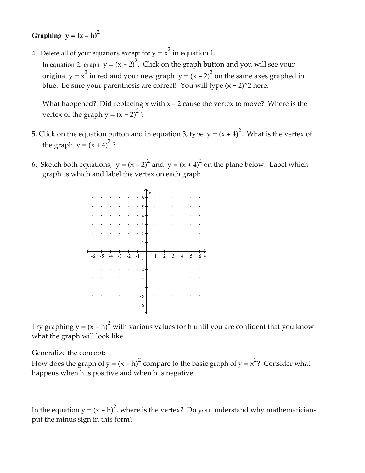# Graphing  $y = (x - h)^2$

4. Delete all of your equations except for  $y = x^2$  in equation 1.

In equation 2, graph  $y = (x - 2)^2$ . Click on the graph button and you will see your original  $y = x^2$  in red and your new graph  $y = (x - 2)^2$  on the same axes graphed in blue. Be sure your parenthesis are correct! You will type  $(x - 2)^2$  here.

What happened? Did replacing  $x$  with  $x - 2$  cause the vertex to move? Where is the vertex of the graph  $y = (x - 2)^2$ ?

- 5. Click on the equation button and in equation 3, type  $y = (x + 4)^2$ . What is the vertex of the graph  $y = (x + 4)^2$ ?
- 6. Sketch both equations,  $y = (x 2)^2$  and  $y = (x + 4)^2$  on the plane below. Label which graph is which and label the vertex on each graph.



Try graphing  $y = (x - h)^2$  with various values for h until you are confident that you know what the graph will look like.

Generalize the concept:

How does the graph of  $y = (x - h)^2$  compare to the basic graph of  $y = x^2$ ? Consider what happens when h is positive and when h is negative.

In the equation  $y = (x - h)^2$ , where is the vertex? Do you understand why mathematicians put the minus sign in this form?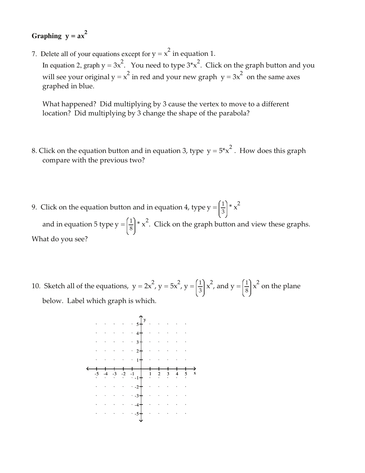## Graphing  $y = ax^2$

7. Delete all of your equations except for  $y = x^2$  in equation 1.

In equation 2, graph  $y = 3x^2$ . You need to type  $3*x^2$ . Click on the graph button and you will see your original  $y = x^2$  in red and your new graph  $y = 3x^2$  on the same axes graphed in blue.

What happened? Did multiplying by 3 cause the vertex to move to a different location? Did multiplying by 3 change the shape of the parabola?

- 8. Click on the equation button and in equation 3, type  $y = 5*x^2$ . How does this graph compare with the previous two?
- 9. Click on the equation button and in equation 4, type  $y = \left(\frac{1}{3}\right) * x^2$

and in equation 5 type  $y = \left(\frac{1}{8}\right) * x^2$ . Click on the graph button and view these graphs. What do you see?

10. Sketch all of the equations,  $y = 2x^2$ ,  $y = 5x^2$ ,  $y = \left(\frac{1}{3}\right)x^2$ , and  $y = \left(\frac{1}{8}\right)x^2$  on the plane below. Label which graph is which.

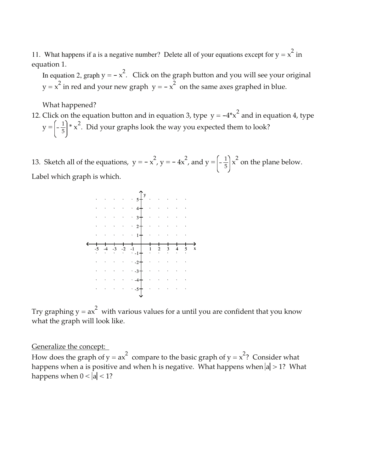11. What happens if a is a negative number? Delete all of your equations except for  $y = x^2$  in equation 1.

In equation 2, graph  $y = -x^2$ . Click on the graph button and you will see your original  $y = x<sup>2</sup>$  in red and your new graph  $y = -x<sup>2</sup>$  on the same axes graphed in blue.

What happened?

12. Click on the equation button and in equation 3, type  $y = -4*x^2$  and in equation 4, type  $y = \left(-\frac{1}{5}\right) * x^2$ . Did your graphs look the way you expected them to look?

13. Sketch all of the equations,  $y = -x^2$ ,  $y = -4x^2$ , and  $y = \left(-\frac{1}{5}\right)x^2$  on the plane below. Label which graph is which.



Try graphing  $y = ax^2$  with various values for a until you are confident that you know what the graph will look like.

Generalize the concept:

How does the graph of  $y = ax^2$  compare to the basic graph of  $y = x^2$ ? Consider what happens when a is positive and when h is negative. What happens when  $|a| > 1$ ? What happens when  $0 < |a| < 1$ ?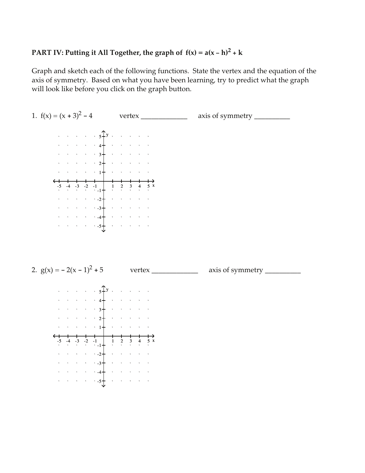#### PART IV: Putting it All Together, the graph of  $f(x) = a(x - h)^2 + k$

Graph and sketch each of the following functions. State the vertex and the equation of the axis of symmetry. Based on what you have been learning, try to predict what the graph will look like before you click on the graph button.